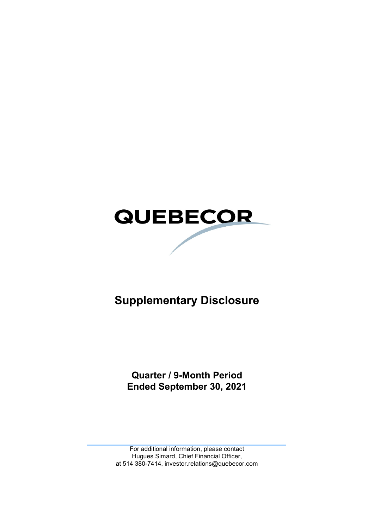# **QUEBECOR**

# **Supplementary Disclosure**

**Quarter / 9-Month Period Ended September 30, 2021**

For additional information, please contact Hugues Simard, Chief Financial Officer, at 514 380-7414, investor.relations@quebecor.com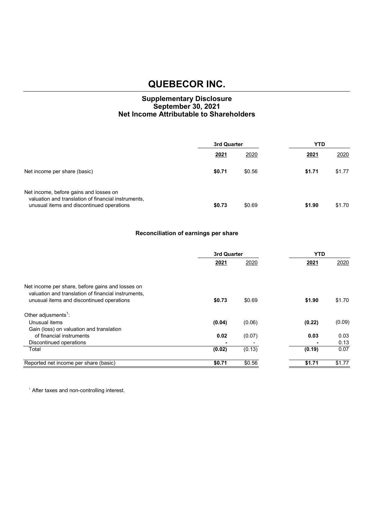## **Supplementary Disclosure September 30, 2021 Net Income Attributable to Shareholders**

|                                                                                                                                            | 3rd Quarter |        | <b>YTD</b> |        |
|--------------------------------------------------------------------------------------------------------------------------------------------|-------------|--------|------------|--------|
|                                                                                                                                            | 2021        | 2020   | 2021       | 2020   |
| Net income per share (basic)                                                                                                               | \$0.71      | \$0.56 | \$1.71     | \$1.77 |
| Net income, before gains and losses on<br>valuation and translation of financial instruments,<br>unusual items and discontinued operations | \$0.73      | \$0.69 | \$1.90     | \$1.70 |

## **Reconciliation of earnings per share**

|                                                     | 3rd Quarter |        | <b>YTD</b> |        |
|-----------------------------------------------------|-------------|--------|------------|--------|
|                                                     | 2021        | 2020   | 2021       | 2020   |
|                                                     |             |        |            |        |
| Net income per share, before gains and losses on    |             |        |            |        |
| valuation and translation of financial instruments. |             |        |            |        |
| unusual items and discontinued operations           | \$0.73      | \$0.69 | \$1.90     | \$1.70 |
| Other adjusments <sup>1</sup> :                     |             |        |            |        |
| Unusual items                                       | (0.04)      | (0.06) | (0.22)     | (0.09) |
| Gain (loss) on valuation and translation            |             |        |            |        |
| of financial instruments                            | 0.02        | (0.07) | 0.03       | 0.03   |
| Discontinued operations                             |             |        |            | 0.13   |
| Total                                               | (0.02)      | (0.13) | (0.19)     | 0.07   |
| Reported net income per share (basic)               | \$0.71      | \$0.56 | \$1.71     | \$1.77 |

1 After taxes and non-controlling interest.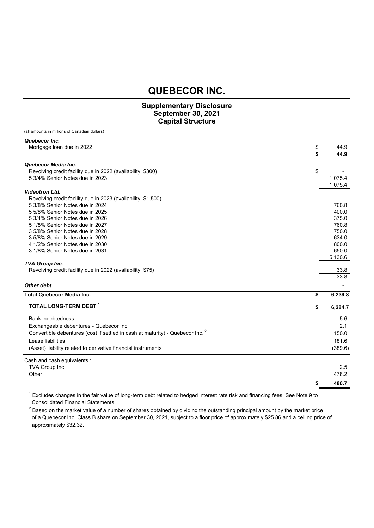### **Supplementary Disclosure September 30, 2021 Capital Structure**

| (all amounts in millions of Canadian dollars) |  |  |  |  |  |
|-----------------------------------------------|--|--|--|--|--|
|-----------------------------------------------|--|--|--|--|--|

#### *Quebecor Inc.*

| Mortgage loan due in 2022                                                                 | \$<br>44.9    |
|-------------------------------------------------------------------------------------------|---------------|
|                                                                                           | \$<br>44.9    |
| Quebecor Media Inc.                                                                       |               |
| Revolving credit facility due in 2022 (availability: \$300)                               | \$            |
| 5 3/4% Senior Notes due in 2023                                                           | 1,075.4       |
|                                                                                           | 1,075.4       |
| <b>Videotron Ltd.</b>                                                                     |               |
| Revolving credit facility due in 2023 (availability: \$1,500)                             |               |
| 5 3/8% Senior Notes due in 2024                                                           | 760.8         |
| 5 5/8% Senior Notes due in 2025                                                           | 400.0         |
| 5 3/4% Senior Notes due in 2026                                                           | 375.0         |
| 5 1/8% Senior Notes due in 2027                                                           | 760.8         |
| 3 5/8% Senior Notes due in 2028                                                           | 750.0         |
| 3 5/8% Senior Notes due in 2029                                                           | 634.0         |
| 4 1/2% Senior Notes due in 2030                                                           | 800.0         |
| 3 1/8% Senior Notes due in 2031                                                           | 650.0         |
|                                                                                           | 5,130.6       |
| <b>TVA Group Inc.</b>                                                                     |               |
| Revolving credit facility due in 2022 (availability: \$75)                                | 33.8          |
|                                                                                           | 33.8          |
| Other debt                                                                                |               |
| <b>Total Quebecor Media Inc.</b>                                                          | \$<br>6,239.8 |
| <b>TOTAL LONG-TERM DEBT 1</b>                                                             | \$<br>6,284.7 |
| <b>Bank indebtedness</b>                                                                  | 5.6           |
| Exchangeable debentures - Quebecor Inc.                                                   | 2.1           |
| Convertible debentures (cost if settled in cash at maturity) - Quebecor Inc. <sup>2</sup> | 150.0         |
| Lease liabilities                                                                         | 181.6         |
| (Asset) liability related to derivative financial instruments                             | (389.6)       |
|                                                                                           |               |

Cash and cash equivalents :

TVA Group Inc. 2.5

Other 478.2

 $^{\rm 1}$  Excludes changes in the fair value of long-term debt related to hedged interest rate risk and financing fees. See Note 9 to Consolidated Financial Statements.

 $^2$  Based on the market value of a number of shares obtained by dividing the outstanding principal amount by the market price of a Quebecor Inc. Class B share on September 30, 2021, subject to a floor price of approximately \$25.86 and a ceiling price of approximately \$32.32.

**\$ 480.7**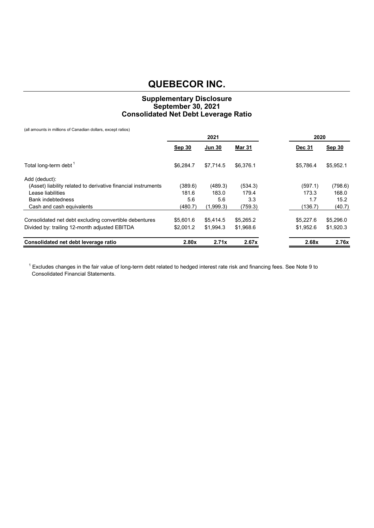## **Supplementary Disclosure September 30, 2021 Consolidated Net Debt Leverage Ratio**

(all amounts in millions of Canadian dollars, except ratios)

|                                                               | 2021      |               |               | 2020          |           |
|---------------------------------------------------------------|-----------|---------------|---------------|---------------|-----------|
|                                                               | Sep 30    | <b>Jun 30</b> | <b>Mar 31</b> | <b>Dec 31</b> | Sep 30    |
| Total long-term debt <sup>1</sup>                             | \$6,284.7 | \$7.714.5     | \$6.376.1     | \$5,786.4     | \$5,952.1 |
| Add (deduct):                                                 |           |               |               |               |           |
| (Asset) liability related to derivative financial instruments | (389.6)   | (489.3)       | (534.3)       | (597.1)       | (798.6)   |
| Lease liabilities                                             | 181.6     | 183.0         | 179.4         | 173.3         | 168.0     |
| Bank indebtedness                                             | 5.6       | 5.6           | 3.3           | 1.7           | 15.2      |
| Cash and cash equivalents                                     | (480.7)   | (1,999.3)     | (759.3)       | (136.7)       | (40.7)    |
| Consolidated net debt excluding convertible debentures        | \$5,601.6 | \$5,414.5     | \$5,265.2     | \$5,227.6     | \$5,296.0 |
| Divided by: trailing 12-month adjusted EBITDA                 | \$2,001.2 | \$1,994.3     | \$1,968.6     | \$1,952.6     | \$1,920.3 |
| Consolidated net debt leverage ratio                          | 2.80x     | 2.71x         | 2.67x         | 2.68x         | 2.76x     |

 $^{\rm 1}$  Excludes changes in the fair value of long-term debt related to hedged interest rate risk and financing fees. See Note 9 to Consolidated Financial Statements.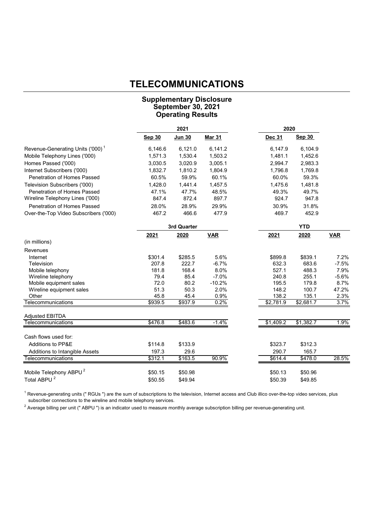## **TELECOMMUNICATIONS**

## **Supplementary Disclosure September 30, 2021 Operating Results**

|                                              |               | 2021        |               | 2020      |               |            |
|----------------------------------------------|---------------|-------------|---------------|-----------|---------------|------------|
|                                              | <b>Sep 30</b> | Jun 30      | <b>Mar 31</b> | Dec 31    | <b>Sep 30</b> |            |
| Revenue-Generating Units ('000) <sup>1</sup> | 6,146.6       | 6,121.0     | 6,141.2       | 6,147.9   | 6,104.9       |            |
| Mobile Telephony Lines ('000)                | 1,571.3       | 1,530.4     | 1,503.2       | 1,481.1   | 1,452.6       |            |
| Homes Passed ('000)                          | 3,030.5       | 3,020.9     | 3,005.1       | 2,994.7   | 2,983.3       |            |
| Internet Subscribers ('000)                  | 1,832.7       | 1,810.2     | 1,804.9       | 1,796.8   | 1,769.8       |            |
| <b>Penetration of Homes Passed</b>           | 60.5%         | 59.9%       | 60.1%         | 60.0%     | 59.3%         |            |
| Television Subscribers ('000)                | 1,428.0       | 1,441.4     | 1,457.5       | 1,475.6   | 1,481.8       |            |
| <b>Penetration of Homes Passed</b>           | 47.1%         | 47.7%       | 48.5%         | 49.3%     | 49.7%         |            |
| Wireline Telephony Lines ('000)              | 847.4         | 872.4       | 897.7         | 924.7     | 947.8         |            |
| Penetration of Homes Passed                  | 28.0%         | 28.9%       | 29.9%         | 30.9%     | 31.8%         |            |
| Over-the-Top Video Subscribers ('000)        | 467.2         | 466.6       | 477.9         | 469.7     | 452.9         |            |
|                                              |               | 3rd Quarter |               |           | <b>YTD</b>    |            |
|                                              | 2021          | 2020        | <b>VAR</b>    | 2021      | 2020          | <b>VAR</b> |
| (in millions)                                |               |             |               |           |               |            |
| Revenues                                     |               |             |               |           |               |            |
| Internet                                     | \$301.4       | \$285.5     | 5.6%          | \$899.8   | \$839.1       | 7.2%       |
| Television                                   | 207.8         | 222.7       | $-6.7%$       | 632.3     | 683.6         | $-7.5%$    |
| Mobile telephony                             | 181.8         | 168.4       | 8.0%          | 527.1     | 488.3         | 7.9%       |
| Wireline telephony                           | 79.4          | 85.4        | $-7.0%$       | 240.8     | 255.1         | $-5.6%$    |
| Mobile equipment sales                       | 72.0          | 80.2        | $-10.2%$      | 195.5     | 179.8         | 8.7%       |
| Wireline equipment sales                     | 51.3          | 50.3        | 2.0%          | 148.2     | 100.7         | 47.2%      |
| Other                                        | 45.8          | 45.4        | 0.9%          | 138.2     | 135.1         | 2.3%       |
| <b>Felecommunications</b>                    | \$939.5       | \$937.9     | 0.2%          | \$2,781.9 | \$2,681.7     | 3.7%       |
| <b>Adjusted EBITDA</b>                       |               |             |               |           |               |            |
| Telecommunications                           | \$476.8       | \$483.6     | $-1.4%$       | \$1,409.2 | \$1,382.7     | 1.9%       |
| Cash flows used for:                         |               |             |               |           |               |            |
| <b>Additions to PP&amp;E</b>                 | \$114.8       | \$133.9     |               | \$323.7   | \$312.3       |            |
| Additions to Intangible Assets               | 197.3         | 29.6        |               | 290.7     | 165.7         |            |
| Telecommunications                           | \$312.1       | \$163.5     | 90.9%         | \$614.4   | \$478.0       | 28.5%      |
| Mobile Telephony ABPU <sup>2</sup>           | \$50.15       | \$50.98     |               | \$50.13   | \$50.96       |            |
| Total ABPU <sup>2</sup>                      | \$50.55       | \$49.94     |               | \$50.39   | \$49.85       |            |

<sup>1</sup> Revenue-generating units (" RGUs ") are the sum of subscriptions to the television, Internet access and Club illico over-the-top video services, plus subscriber connections to the wireline and mobile telephony services.

 $^2$  Average billing per unit (" ABPU ") is an indicator used to measure monthly average subscription billing per revenue-generating unit.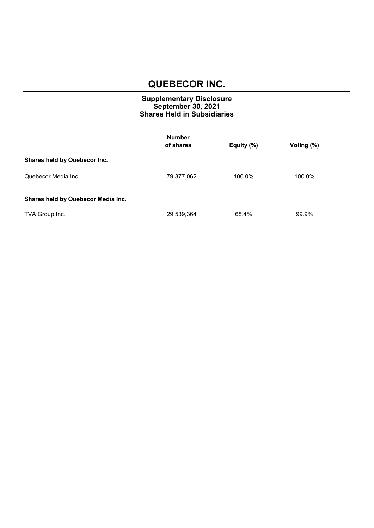## **Supplementary Disclosure September 30, 2021 Shares Held in Subsidiaries**

|                                           | <b>Number</b> |            |            |
|-------------------------------------------|---------------|------------|------------|
|                                           | of shares     | Equity (%) | Voting (%) |
| <b>Shares held by Quebecor Inc.</b>       |               |            |            |
| Quebecor Media Inc.                       | 79,377,062    | 100.0%     | 100.0%     |
| <b>Shares held by Quebecor Media Inc.</b> |               |            |            |
| TVA Group Inc.                            | 29,539,364    | 68.4%      | 99.9%      |